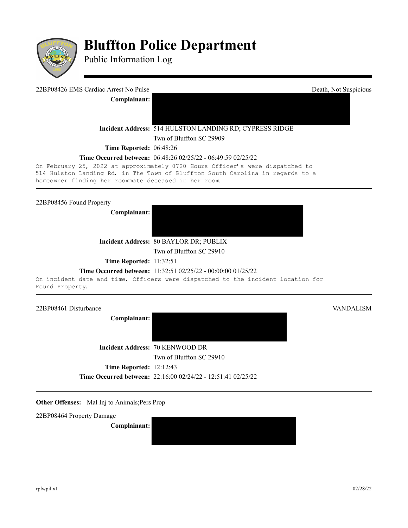

# **Bluffton Police Department**

Public Information Log

# 22BP08426 EMS Cardiac Arrest No Pulse Death, Not Suspicious

**Complainant:** 

**Incident Address:** 514 HULSTON LANDING RD; CYPRESS RIDGE

Twn of Bluffton SC 29909

**Time Reported: 06:48:26** 

### **Time Occurred between:** 06:48:26 02/25/22 - 06:49:59 02/25/22

On February 25, 2022 at approximately 0720 Hours Officer's were dispatched to 514 Hulston Landing Rd. in The Town of Bluffton South Carolina in regards to a homeowner finding her roommate deceased in her room.

22BP08456 Found Property

**Complainant:** 



**Incident Address:** 80 BAYLOR DR; PUBLIX

Twn of Bluffton SC 29910

**Time Reported:** 11:32:51

# **Time Occurred between:** 11:32:51 02/25/22 - 00:00:00 01/25/22

On incident date and time, Officers were dispatched to the incident location for Found Property.

22BP08461 Disturbance VANDALISM

**Complainant:** 

**Incident Address:** 70 KENWOOD DR Twn of Bluffton SC 29910 **Time Reported:** 12:12:43 **Time Occurred between:** 22:16:00 02/24/22 - 12:51:41 02/25/22

**Other Offenses:** Mal Inj to Animals; Pers Prop

22BP08464 Property Damage

**Complainant:**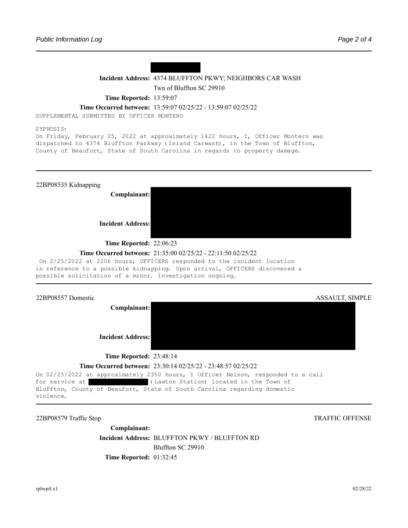

# **Incident Address:** 4374 BLUFFTON PKWY; NEIGHBORS CAR WASH Twn of Bluffton SC 29910

**Time Reported:** 13:59:07

**Time Occurred between:** 13:59:07 02/25/22 - 13:59:07 02/25/22

SUPPLEMENTAL SUBMITTED BY OFFICER MONTERO

SYPNOSIS:

On Friday, February 25, 2022 at approximately 1422 hours, I, Officer Montero was dispatched to 4374 Bluffton Parkway (Island Carwash), in the Town of Bluffton, County of Beaufort, State of South Carolina in regards to property damage.



#### **Time Occurred between:** 21:35:00 02/25/22 - 22:11:50 02/25/22

On 2/25/2022 at 2206 hours, OFFICERS responded to the incident location in reference to a possible kidnapping. Upon arrival, OFFICERS discovered a possible solicitation of a minor. Investigation ongoing.



22BP08579 Traffic Stop TRAFFIC OFFENSE

**Complainant: Incident Address:** BLUFFTON PKWY / BLUFFTON RD Bluffton SC 29910 **Time Reported: 01:32:45**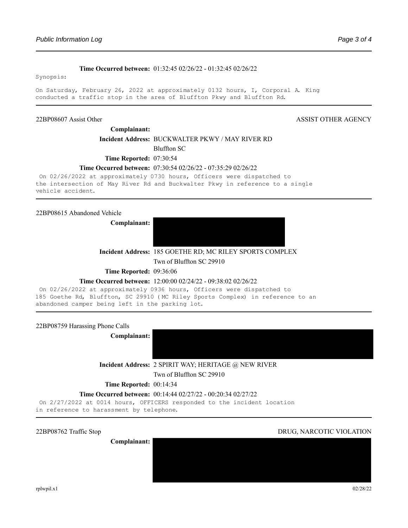#### **Time Occurred between:** 01:32:45 02/26/22 - 01:32:45 02/26/22

Synopsis:

On Saturday, February 26, 2022 at approximately 0132 hours, I, Corporal A. King conducted a traffic stop in the area of Bluffton Pkwy and Bluffton Rd.

#### 22BP08607 Assist Other ASSIST OTHER AGENCY

**Complainant:** 

# **Incident Address:** BUCKWALTER PKWY / MAY RIVER RD

Bluffton SC

**Time Reported:** 07:30:54

### **Time Occurred between:** 07:30:54 02/26/22 - 07:35:29 02/26/22

On 02/26/2022 at approximately 0730 hours, Officers were dispatched to the intersection of May River Rd and Buckwalter Pkwy in reference to a single vehicle accident.

#### 22BP08615 Abandoned Vehicle

**Complainant:** 

#### **Incident Address:** 185 GOETHE RD; MC RILEY SPORTS COMPLEX

Twn of Bluffton SC 29910

**Time Reported: 09:36:06** 

#### **Time Occurred between:** 12:00:00 02/24/22 - 09:38:02 02/26/22

On 02/26/2022 at approximately 0936 hours, Officers were dispatched to 185 Goethe Rd, Bluffton, SC 29910 (MC Riley Sports Complex) in reference to an abandoned camper being left in the parking lot.

22BP08759 Harassing Phone Calls

**Complainant:** 

**Incident Address:** 2 SPIRIT WAY; HERITAGE @ NEW RIVER

Twn of Bluffton SC 29910

**Time Reported: 00:14:34** 

#### **Time Occurred between:** 00:14:44 02/27/22 - 00:20:34 02/27/22

On 2/27/2022 at 0014 hours, OFFICERS responded to the incident location in reference to harassment by telephone.

**Complainant:** 

#### 22BP08762 Traffic Stop DRUG, NARCOTIC VIOLATION

rplwpil.x1 02/28/22